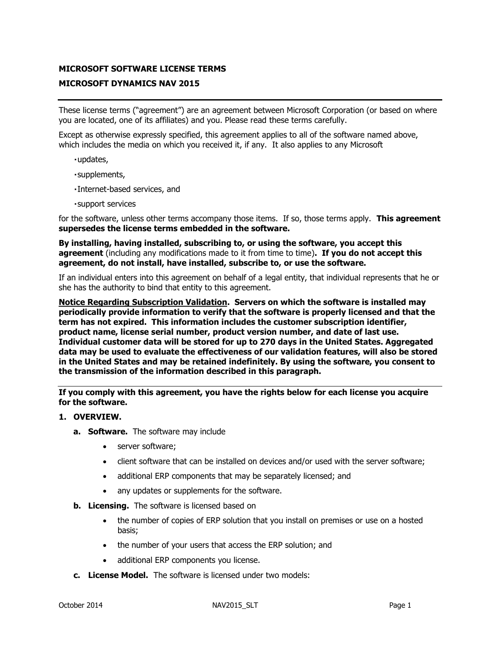### **MICROSOFT SOFTWARE LICENSE TERMS**

### **MICROSOFT DYNAMICS NAV 2015**

These license terms ("agreement") are an agreement between Microsoft Corporation (or based on where you are located, one of its affiliates) and you. Please read these terms carefully.

Except as otherwise expressly specified, this agreement applies to all of the software named above, which includes the media on which you received it, if any. It also applies to any Microsoft

- updates,
- supplements,
- Internet-based services, and
- support services

for the software, unless other terms accompany those items. If so, those terms apply. **This agreement supersedes the license terms embedded in the software.**

**By installing, having installed, subscribing to, or using the software, you accept this agreement** (including any modifications made to it from time to time)**. If you do not accept this agreement, do not install, have installed, subscribe to, or use the software.** 

If an individual enters into this agreement on behalf of a legal entity, that individual represents that he or she has the authority to bind that entity to this agreement.

**Notice Regarding Subscription Validation. Servers on which the software is installed may periodically provide information to verify that the software is properly licensed and that the term has not expired. This information includes the customer subscription identifier, product name, license serial number, product version number, and date of last use. Individual customer data will be stored for up to 270 days in the United States. Aggregated data may be used to evaluate the effectiveness of our validation features, will also be stored in the United States and may be retained indefinitely. By using the software, you consent to the transmission of the information described in this paragraph.**

**If you comply with this agreement, you have the rights below for each license you acquire for the software.**

- **1. OVERVIEW.**
	- **a. Software.** The software may include
		- server software;
		- client software that can be installed on devices and/or used with the server software;
		- additional ERP components that may be separately licensed; and
		- any updates or supplements for the software.
	- **b.** Licensing. The software is licensed based on
		- the number of copies of ERP solution that you install on premises or use on a hosted basis;
		- the number of your users that access the ERP solution; and
		- additional ERP components you license.
	- **c. License Model.** The software is licensed under two models: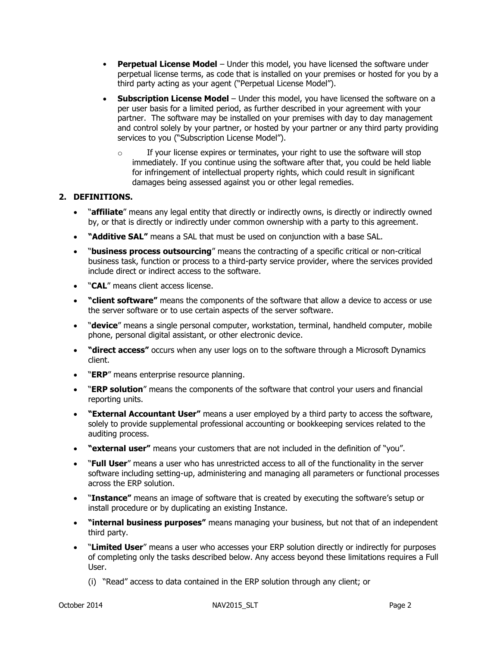- **Perpetual License Model** Under this model, you have licensed the software under perpetual license terms, as code that is installed on your premises or hosted for you by a third party acting as your agent ("Perpetual License Model").
- **Subscription License Model**  Under this model, you have licensed the software on a per user basis for a limited period, as further described in your agreement with your partner. The software may be installed on your premises with day to day management and control solely by your partner, or hosted by your partner or any third party providing services to you ("Subscription License Model").
	- $\circ$  If your license expires or terminates, your right to use the software will stop immediately. If you continue using the software after that, you could be held liable for infringement of intellectual property rights, which could result in significant damages being assessed against you or other legal remedies.

## **2. DEFINITIONS.**

- "affiliate" means any legal entity that directly or indirectly owns, is directly or indirectly owned by, or that is directly or indirectly under common ownership with a party to this agreement.
- **"Additive SAL"** means a SAL that must be used on conjunction with a base SAL.
- "**business process outsourcing**" means the contracting of a specific critical or non-critical business task, function or process to a third-party service provider, where the services provided include direct or indirect access to the software.
- "**CAL**" means client access license.
- **"client software"** means the components of the software that allow a device to access or use the server software or to use certain aspects of the server software.
- "**device**" means a single personal computer, workstation, terminal, handheld computer, mobile phone, personal digital assistant, or other electronic device.
- **"direct access"** occurs when any user logs on to the software through a Microsoft Dynamics client.
- **•** "**ERP**" means enterprise resource planning.
- "**ERP solution**" means the components of the software that control your users and financial reporting units.
- **"External Accountant User"** means a user employed by a third party to access the software, solely to provide supplemental professional accounting or bookkeeping services related to the auditing process.
- **"external user"** means your customers that are not included in the definition of "you".
- "**Full User**" means a user who has unrestricted access to all of the functionality in the server software including setting-up, administering and managing all parameters or functional processes across the ERP solution.
- "**Instance"** means an image of software that is created by executing the software's setup or install procedure or by duplicating an existing Instance.
- **"internal business purposes"** means managing your business, but not that of an independent third party.
- "Limited User" means a user who accesses your ERP solution directly or indirectly for purposes of completing only the tasks described below. Any access beyond these limitations requires a Full User.
	- (i) "Read" access to data contained in the ERP solution through any client; or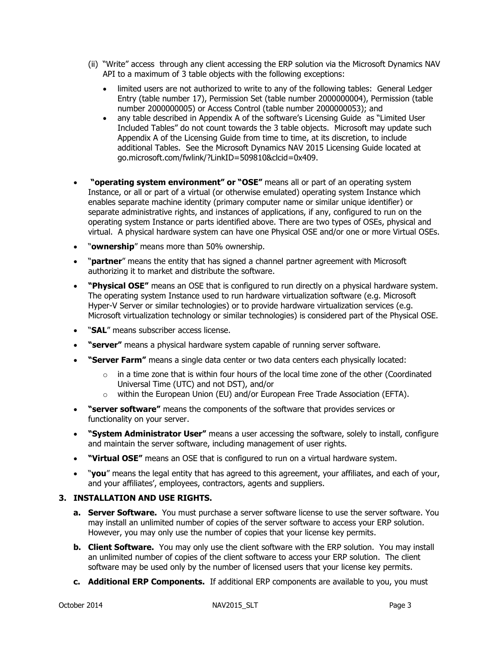- (ii) "Write" access through any client accessing the ERP solution via the Microsoft Dynamics NAV API to a maximum of 3 table objects with the following exceptions:
	- limited users are not authorized to write to any of the following tables: General Ledger Entry (table number 17), Permission Set (table number 2000000004), Permission (table number 2000000005) or Access Control (table number 2000000053); and
	- any table described in Appendix A of the software's Licensing Guide as "Limited User Included Tables" do not count towards the 3 table objects. Microsoft may update such Appendix A of the Licensing Guide from time to time, at its discretion, to include additional Tables. See the Microsoft Dynamics NAV 2015 Licensing Guide located at go.microsoft.com/fwlink/?LinkID=509810&clcid=0x409.
- **"operating system environment" or "OSE"** means all or part of an operating system Instance, or all or part of a virtual (or otherwise emulated) operating system Instance which enables separate machine identity (primary computer name or similar unique identifier) or separate administrative rights, and instances of applications, if any, configured to run on the operating system Instance or parts identified above. There are two types of OSEs, physical and virtual. A physical hardware system can have one Physical OSE and/or one or more Virtual OSEs.
- "**ownership**" means more than 50% ownership.
- "**partner**" means the entity that has signed a channel partner agreement with Microsoft authorizing it to market and distribute the software.
- **"Physical OSE"** means an OSE that is configured to run directly on a physical hardware system. The operating system Instance used to run hardware virtualization software (e.g. Microsoft Hyper-V Server or similar technologies) or to provide hardware virtualization services (e.g. Microsoft virtualization technology or similar technologies) is considered part of the Physical OSE.
- "**SAL**" means subscriber access license.
- **"server"** means a physical hardware system capable of running server software.
- **"Server Farm"** means a single data center or two data centers each physically located:
	- o in a time zone that is within four hours of the local time zone of the other (Coordinated Universal Time (UTC) and not DST), and/or
	- $\circ$  within the European Union (EU) and/or European Free Trade Association (EFTA).
- **"server software"** means the components of the software that provides services or functionality on your server.
- **"System Administrator User"** means a user accessing the software, solely to install, configure and maintain the server software, including management of user rights.
- **"Virtual OSE"** means an OSE that is configured to run on a virtual hardware system.
- "**you**" means the legal entity that has agreed to this agreement, your affiliates, and each of your, and your affiliates', employees, contractors, agents and suppliers.

### **3. INSTALLATION AND USE RIGHTS.**

- **a. Server Software.** You must purchase a server software license to use the server software. You may install an unlimited number of copies of the server software to access your ERP solution. However, you may only use the number of copies that your license key permits.
- **b. Client Software.** You may only use the client software with the ERP solution. You may install an unlimited number of copies of the client software to access your ERP solution. The client software may be used only by the number of licensed users that your license key permits.
- **c. Additional ERP Components.** If additional ERP components are available to you, you must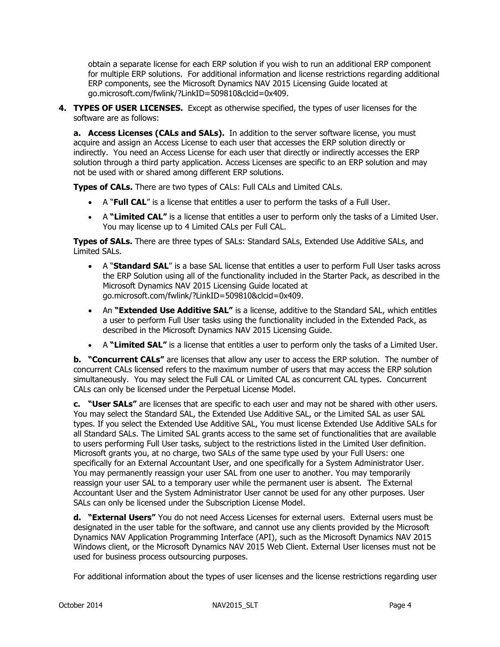obtain a separate license for each ERP solution if you wish to run an additional ERP component for multiple ERP solutions. For additional information and license restrictions regarding additional ERP components, see the Microsoft Dynamics NAV 2015 Licensing Guide located at go.microsoft.com/fwlink/?LinkID=509810&clcid=0x409.

**4. TYPES OF USER LICENSES.** Except as otherwise specified, the types of user licenses for the software are as follows:

**a. Access Licenses (CALs and SALs).** In addition to the server software license, you must acquire and assign an Access License to each user that accesses the ERP solution directly or indirectly. You need an Access License for each user that directly or indirectly accesses the ERP solution through a third party application. Access Licenses are specific to an ERP solution and may not be used with or shared among different ERP solutions.

**Types of CALs.** There are two types of CALs: Full CALs and Limited CALs.

- A "**Full CAL**" is a license that entitles a user to perform the tasks of a Full User.
- A **"Limited CAL"** is a license that entitles a user to perform only the tasks of a Limited User. You may license up to 4 Limited CALs per Full CAL.

**Types of SALs.** There are three types of SALs: Standard SALs, Extended Use Additive SALs, and Limited SALs.

- A "**Standard SAL**" is a base SAL license that entitles a user to perform Full User tasks across the ERP Solution using all of the functionality included in the Starter Pack, as described in the Microsoft Dynamics NAV 2015 Licensing Guide located at go.microsoft.com/fwlink/?LinkID=509810&clcid=0x409.
- An **"Extended Use Additive SAL"** is a license, additive to the Standard SAL, which entitles a user to perform Full User tasks using the functionality included in the Extended Pack, as described in the Microsoft Dynamics NAV 2015 Licensing Guide.
- A **"Limited SAL"** is a license that entitles a user to perform only the tasks of a Limited User.

**b. "Concurrent CALs"** are licenses that allow any user to access the ERP solution. The number of concurrent CALs licensed refers to the maximum number of users that may access the ERP solution simultaneously. You may select the Full CAL or Limited CAL as concurrent CAL types. Concurrent CALs can only be licensed under the Perpetual License Model.

**c. "User SALs"** are licenses that are specific to each user and may not be shared with other users. You may select the Standard SAL, the Extended Use Additive SAL, or the Limited SAL as user SAL types. If you select the Extended Use Additive SAL, You must license Extended Use Additive SALs for all Standard SALs. The Limited SAL grants access to the same set of functionalities that are available to users performing Full User tasks, subject to the restrictions listed in the Limited User definition. Microsoft grants you, at no charge, two SALs of the same type used by your Full Users: one specifically for an External Accountant User, and one specifically for a System Administrator User. You may permanently reassign your user SAL from one user to another. You may temporarily reassign your user SAL to a temporary user while the permanent user is absent. The External Accountant User and the System Administrator User cannot be used for any other purposes. User SALs can only be licensed under the Subscription License Model.

**d. "External Users"** You do not need Access Licenses for external users. External users must be designated in the user table for the software, and cannot use any clients provided by the Microsoft Dynamics NAV Application Programming Interface (API), such as the Microsoft Dynamics NAV 2015 Windows client, or the Microsoft Dynamics NAV 2015 Web Client. External User licenses must not be used for business process outsourcing purposes.

For additional information about the types of user licenses and the license restrictions regarding user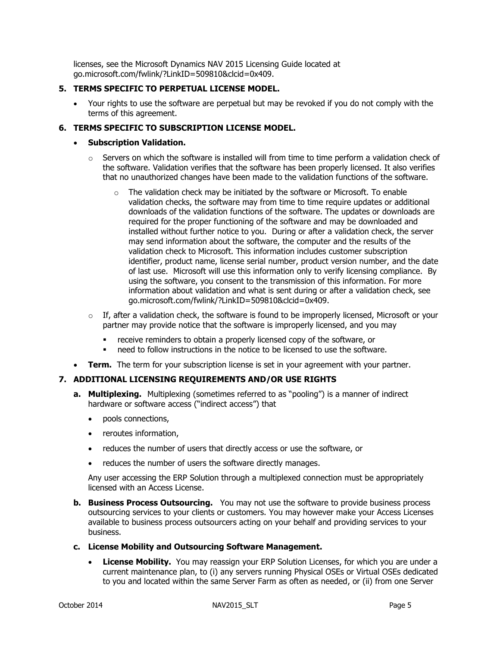licenses, see the Microsoft Dynamics NAV 2015 Licensing Guide located at go.microsoft.com/fwlink/?LinkID=509810&clcid=0x409.

## **5. TERMS SPECIFIC TO PERPETUAL LICENSE MODEL.**

 Your rights to use the software are perpetual but may be revoked if you do not comply with the terms of this agreement.

# **6. TERMS SPECIFIC TO SUBSCRIPTION LICENSE MODEL.**

- **Subscription Validation.**
	- $\circ$  Servers on which the software is installed will from time to time perform a validation check of the software. Validation verifies that the software has been properly licensed. It also verifies that no unauthorized changes have been made to the validation functions of the software.
		- $\circ$  The validation check may be initiated by the software or Microsoft. To enable validation checks, the software may from time to time require updates or additional downloads of the validation functions of the software. The updates or downloads are required for the proper functioning of the software and may be downloaded and installed without further notice to you. During or after a validation check, the server may send information about the software, the computer and the results of the validation check to Microsoft. This information includes customer subscription identifier, product name, license serial number, product version number, and the date of last use. Microsoft will use this information only to verify licensing compliance. By using the software, you consent to the transmission of this information. For more information about validation and what is sent during or after a validation check, see go.microsoft.com/fwlink/?LinkID=509810&clcid=0x409.
	- $\circ$  If, after a validation check, the software is found to be improperly licensed, Microsoft or your partner may provide notice that the software is improperly licensed, and you may
		- **•** receive reminders to obtain a properly licensed copy of the software, or
		- need to follow instructions in the notice to be licensed to use the software.
- **Term.** The term for your subscription license is set in your agreement with your partner.

### **7. ADDITIONAL LICENSING REQUIREMENTS AND/OR USE RIGHTS**

- **a. Multiplexing.** Multiplexing (sometimes referred to as "pooling") is a manner of indirect hardware or software access ("indirect access") that
	- pools connections.
	- reroutes information.
	- reduces the number of users that directly access or use the software, or
	- reduces the number of users the software directly manages.

Any user accessing the ERP Solution through a multiplexed connection must be appropriately licensed with an Access License.

- **b. Business Process Outsourcing.** You may not use the software to provide business process outsourcing services to your clients or customers. You may however make your Access Licenses available to business process outsourcers acting on your behalf and providing services to your business.
- **c. License Mobility and Outsourcing Software Management.** 
	- **License Mobility.** You may reassign your ERP Solution Licenses, for which you are under a current maintenance plan, to (i) any servers running Physical OSEs or Virtual OSEs dedicated to you and located within the same Server Farm as often as needed, or (ii) from one Server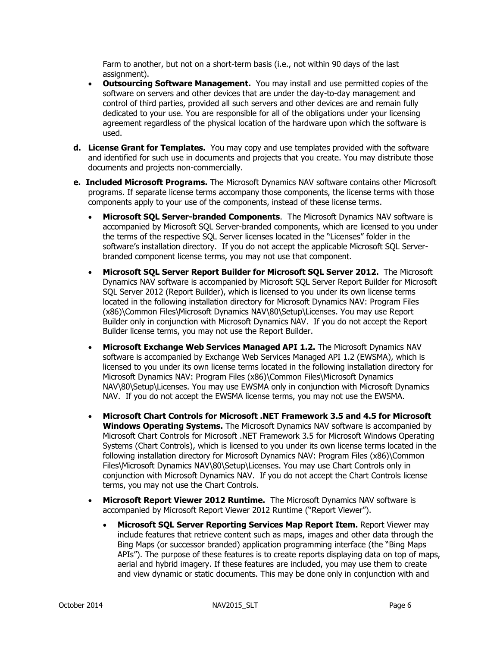Farm to another, but not on a short-term basis (i.e., not within 90 days of the last assignment).

- **Outsourcing Software Management.** You may install and use permitted copies of the software on servers and other devices that are under the day-to-day management and control of third parties, provided all such servers and other devices are and remain fully dedicated to your use. You are responsible for all of the obligations under your licensing agreement regardless of the physical location of the hardware upon which the software is used.
- **d. License Grant for Templates.** You may copy and use templates provided with the software and identified for such use in documents and projects that you create. You may distribute those documents and projects non-commercially.
- **e. Included Microsoft Programs.** The Microsoft Dynamics NAV software contains other Microsoft programs. If separate license terms accompany those components, the license terms with those components apply to your use of the components, instead of these license terms.
	- **Microsoft SQL Server-branded Components**. The Microsoft Dynamics NAV software is accompanied by Microsoft SQL Server-branded components, which are licensed to you under the terms of the respective SQL Server licenses located in the "Licenses" folder in the software's installation directory. If you do not accept the applicable Microsoft SQL Serverbranded component license terms, you may not use that component.
	- **Microsoft SQL Server Report Builder for Microsoft SQL Server 2012.** The Microsoft Dynamics NAV software is accompanied by Microsoft SQL Server Report Builder for Microsoft SQL Server 2012 (Report Builder), which is licensed to you under its own license terms located in the following installation directory for Microsoft Dynamics NAV: Program Files (x86)\Common Files\Microsoft Dynamics NAV\80\Setup\Licenses. You may use Report Builder only in conjunction with Microsoft Dynamics NAV. If you do not accept the Report Builder license terms, you may not use the Report Builder.
	- **Microsoft Exchange Web Services Managed API 1.2.** The Microsoft Dynamics NAV software is accompanied by Exchange Web Services Managed API 1.2 (EWSMA), which is licensed to you under its own license terms located in the following installation directory for Microsoft Dynamics NAV: Program Files (x86)\Common Files\Microsoft Dynamics NAV\80\Setup\Licenses. You may use EWSMA only in conjunction with Microsoft Dynamics NAV. If you do not accept the EWSMA license terms, you may not use the EWSMA.
	- **Microsoft Chart Controls for Microsoft .NET Framework 3.5 and 4.5 for Microsoft Windows Operating Systems.** The Microsoft Dynamics NAV software is accompanied by Microsoft Chart Controls for Microsoft .NET Framework 3.5 for Microsoft Windows Operating Systems (Chart Controls), which is licensed to you under its own license terms located in the following installation directory for Microsoft Dynamics NAV: Program Files (x86)\Common Files\Microsoft Dynamics NAV\80\Setup\Licenses. You may use Chart Controls only in conjunction with Microsoft Dynamics NAV. If you do not accept the Chart Controls license terms, you may not use the Chart Controls.
	- **Microsoft Report Viewer 2012 Runtime.** The Microsoft Dynamics NAV software is accompanied by Microsoft Report Viewer 2012 Runtime ("Report Viewer").
		- **Microsoft SQL Server Reporting Services Map Report Item.** Report Viewer may include features that retrieve content such as maps, images and other data through the Bing Maps (or successor branded) application programming interface (the "Bing Maps APIs"). The purpose of these features is to create reports displaying data on top of maps, aerial and hybrid imagery. If these features are included, you may use them to create and view dynamic or static documents. This may be done only in conjunction with and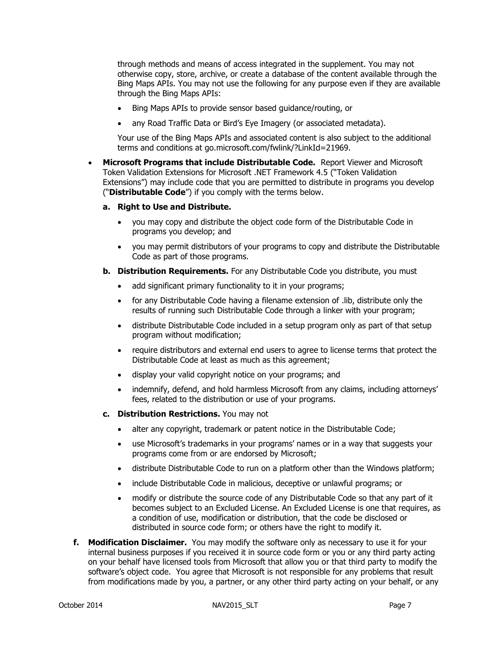through methods and means of access integrated in the supplement. You may not otherwise copy, store, archive, or create a database of the content available through the Bing Maps APIs. You may not use the following for any purpose even if they are available through the Bing Maps APIs:

- Bing Maps APIs to provide sensor based guidance/routing, or
- any Road Traffic Data or Bird's Eye Imagery (or associated metadata).

Your use of the Bing Maps APIs and associated content is also subject to the additional terms and conditions at go.microsoft.com/fwlink/?LinkId=21969.

 **Microsoft Programs that include Distributable Code.** Report Viewer and Microsoft Token Validation Extensions for Microsoft .NET Framework 4.5 ("Token Validation Extensions") may include code that you are permitted to distribute in programs you develop ("**Distributable Code**") if you comply with the terms below.

#### **a. Right to Use and Distribute.**

- you may copy and distribute the object code form of the Distributable Code in programs you develop; and
- you may permit distributors of your programs to copy and distribute the Distributable Code as part of those programs.
- **b. Distribution Requirements.** For any Distributable Code you distribute, you must
	- add significant primary functionality to it in your programs;
	- for any Distributable Code having a filename extension of .lib, distribute only the results of running such Distributable Code through a linker with your program;
	- distribute Distributable Code included in a setup program only as part of that setup program without modification;
	- require distributors and external end users to agree to license terms that protect the Distributable Code at least as much as this agreement;
	- display your valid copyright notice on your programs; and
	- indemnify, defend, and hold harmless Microsoft from any claims, including attorneys' fees, related to the distribution or use of your programs.
- **c. Distribution Restrictions.** You may not
	- alter any copyright, trademark or patent notice in the Distributable Code;
	- use Microsoft's trademarks in your programs' names or in a way that suggests your programs come from or are endorsed by Microsoft;
	- distribute Distributable Code to run on a platform other than the Windows platform;
	- include Distributable Code in malicious, deceptive or unlawful programs; or
	- modify or distribute the source code of any Distributable Code so that any part of it becomes subject to an Excluded License. An Excluded License is one that requires, as a condition of use, modification or distribution, that the code be disclosed or distributed in source code form; or others have the right to modify it.
- **f. Modification Disclaimer.** You may modify the software only as necessary to use it for your internal business purposes if you received it in source code form or you or any third party acting on your behalf have licensed tools from Microsoft that allow you or that third party to modify the software's object code. You agree that Microsoft is not responsible for any problems that result from modifications made by you, a partner, or any other third party acting on your behalf, or any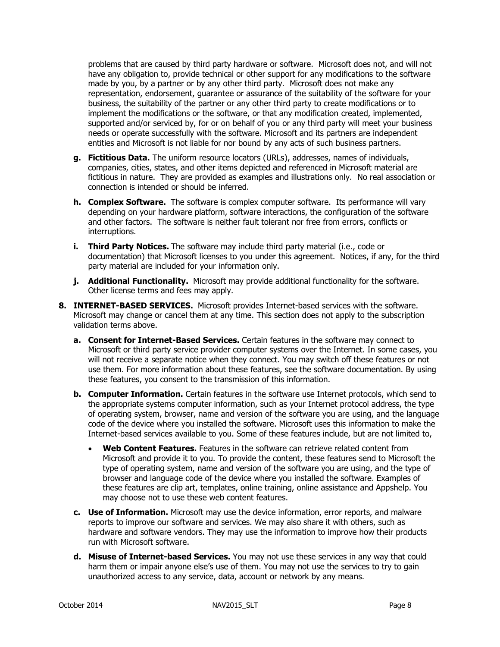problems that are caused by third party hardware or software. Microsoft does not, and will not have any obligation to, provide technical or other support for any modifications to the software made by you, by a partner or by any other third party. Microsoft does not make any representation, endorsement, guarantee or assurance of the suitability of the software for your business, the suitability of the partner or any other third party to create modifications or to implement the modifications or the software, or that any modification created, implemented, supported and/or serviced by, for or on behalf of you or any third party will meet your business needs or operate successfully with the software. Microsoft and its partners are independent entities and Microsoft is not liable for nor bound by any acts of such business partners.

- **g. Fictitious Data.** The uniform resource locators (URLs), addresses, names of individuals, companies, cities, states, and other items depicted and referenced in Microsoft material are fictitious in nature. They are provided as examples and illustrations only. No real association or connection is intended or should be inferred.
- **h. Complex Software.** The software is complex computer software. Its performance will vary depending on your hardware platform, software interactions, the configuration of the software and other factors. The software is neither fault tolerant nor free from errors, conflicts or interruptions.
- **i. Third Party Notices.** The software may include third party material (i.e., code or documentation) that Microsoft licenses to you under this agreement. Notices, if any, for the third party material are included for your information only.
- **j. Additional Functionality.** Microsoft may provide additional functionality for the software. Other license terms and fees may apply.
- **8. INTERNET-BASED SERVICES.** Microsoft provides Internet-based services with the software. Microsoft may change or cancel them at any time. This section does not apply to the subscription validation terms above.
	- **a. Consent for Internet-Based Services.** Certain features in the software may connect to Microsoft or third party service provider computer systems over the Internet. In some cases, you will not receive a separate notice when they connect. You may switch off these features or not use them. For more information about these features, see the software documentation. By using these features, you consent to the transmission of this information.
	- **b. Computer Information.** Certain features in the software use Internet protocols, which send to the appropriate systems computer information, such as your Internet protocol address, the type of operating system, browser, name and version of the software you are using, and the language code of the device where you installed the software. Microsoft uses this information to make the Internet-based services available to you. Some of these features include, but are not limited to,
		- **Web Content Features.** Features in the software can retrieve related content from Microsoft and provide it to you. To provide the content, these features send to Microsoft the type of operating system, name and version of the software you are using, and the type of browser and language code of the device where you installed the software. Examples of these features are clip art, templates, online training, online assistance and Appshelp. You may choose not to use these web content features.
	- **c. Use of Information.** Microsoft may use the device information, error reports, and malware reports to improve our software and services. We may also share it with others, such as hardware and software vendors. They may use the information to improve how their products run with Microsoft software.
	- **d. Misuse of Internet-based Services.** You may not use these services in any way that could harm them or impair anyone else's use of them. You may not use the services to try to gain unauthorized access to any service, data, account or network by any means.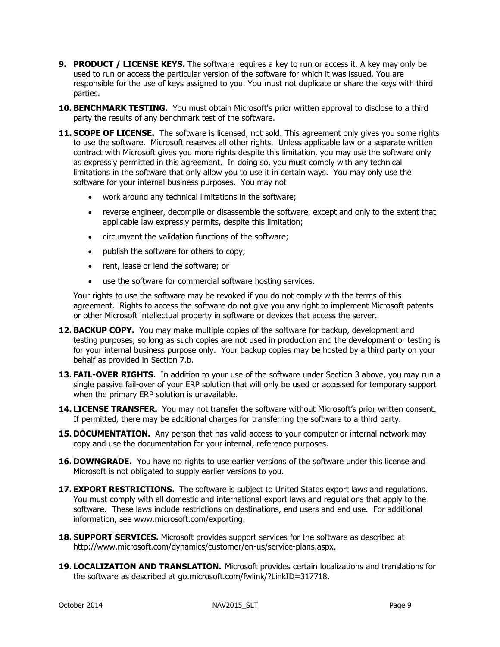- **9. PRODUCT / LICENSE KEYS.** The software requires a key to run or access it. A key may only be used to run or access the particular version of the software for which it was issued. You are responsible for the use of keys assigned to you. You must not duplicate or share the keys with third parties.
- **10. BENCHMARK TESTING.** You must obtain Microsoft's prior written approval to disclose to a third party the results of any benchmark test of the software.
- **11. SCOPE OF LICENSE.** The software is licensed, not sold. This agreement only gives you some rights to use the software. Microsoft reserves all other rights. Unless applicable law or a separate written contract with Microsoft gives you more rights despite this limitation, you may use the software only as expressly permitted in this agreement. In doing so, you must comply with any technical limitations in the software that only allow you to use it in certain ways. You may only use the software for your internal business purposes. You may not
	- work around any technical limitations in the software;
	- reverse engineer, decompile or disassemble the software, except and only to the extent that applicable law expressly permits, despite this limitation;
	- circumvent the validation functions of the software;
	- publish the software for others to copy;
	- rent, lease or lend the software; or
	- use the software for commercial software hosting services.

Your rights to use the software may be revoked if you do not comply with the terms of this agreement. Rights to access the software do not give you any right to implement Microsoft patents or other Microsoft intellectual property in software or devices that access the server.

- **12. BACKUP COPY.** You may make multiple copies of the software for backup, development and testing purposes, so long as such copies are not used in production and the development or testing is for your internal business purpose only. Your backup copies may be hosted by a third party on your behalf as provided in Section 7.b.
- **13. FAIL-OVER RIGHTS.** In addition to your use of the software under Section 3 above, you may run a single passive fail-over of your ERP solution that will only be used or accessed for temporary support when the primary ERP solution is unavailable.
- **14. LICENSE TRANSFER.** You may not transfer the software without Microsoft's prior written consent. If permitted, there may be additional charges for transferring the software to a third party.
- **15. DOCUMENTATION.** Any person that has valid access to your computer or internal network may copy and use the documentation for your internal, reference purposes.
- **16. DOWNGRADE.** You have no rights to use earlier versions of the software under this license and Microsoft is not obligated to supply earlier versions to you.
- **17. EXPORT RESTRICTIONS.** The software is subject to United States export laws and regulations. You must comply with all domestic and international export laws and regulations that apply to the software. These laws include restrictions on destinations, end users and end use. For additional information, see www.microsoft.com/exporting.
- 18. **SUPPORT SERVICES.** Microsoft provides support services for the software as described at http://www.microsoft.com/dynamics/customer/en-us/service-plans.aspx.
- **19. LOCALIZATION AND TRANSLATION.** Microsoft provides certain localizations and translations for the software as described at go.microsoft.com/fwlink/?LinkID=317718.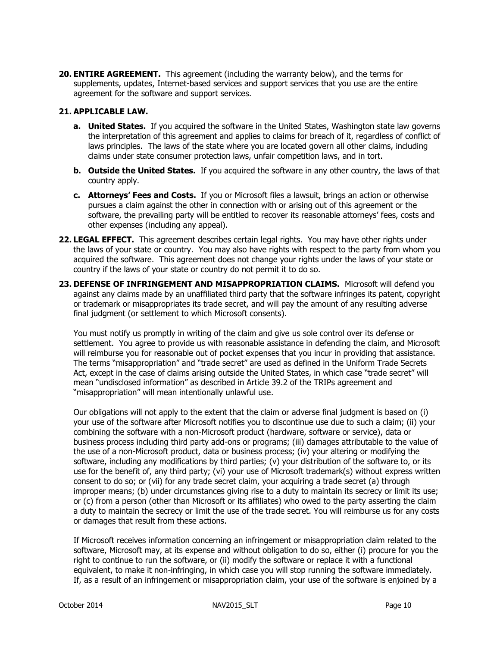**20. ENTIRE AGREEMENT.** This agreement (including the warranty below), and the terms for supplements, updates, Internet-based services and support services that you use are the entire agreement for the software and support services.

### **21. APPLICABLE LAW.**

- **a. United States.** If you acquired the software in the United States, Washington state law governs the interpretation of this agreement and applies to claims for breach of it, regardless of conflict of laws principles. The laws of the state where you are located govern all other claims, including claims under state consumer protection laws, unfair competition laws, and in tort.
- **b. Outside the United States.** If you acquired the software in any other country, the laws of that country apply.
- **c. Attorneys' Fees and Costs.** If you or Microsoft files a lawsuit, brings an action or otherwise pursues a claim against the other in connection with or arising out of this agreement or the software, the prevailing party will be entitled to recover its reasonable attorneys' fees, costs and other expenses (including any appeal).
- **22. LEGAL EFFECT.** This agreement describes certain legal rights. You may have other rights under the laws of your state or country. You may also have rights with respect to the party from whom you acquired the software. This agreement does not change your rights under the laws of your state or country if the laws of your state or country do not permit it to do so.
- **23. DEFENSE OF INFRINGEMENT AND MISAPPROPRIATION CLAIMS.** Microsoft will defend you against any claims made by an unaffiliated third party that the software infringes its patent, copyright or trademark or misappropriates its trade secret, and will pay the amount of any resulting adverse final judgment (or settlement to which Microsoft consents).

You must notify us promptly in writing of the claim and give us sole control over its defense or settlement. You agree to provide us with reasonable assistance in defending the claim, and Microsoft will reimburse you for reasonable out of pocket expenses that you incur in providing that assistance. The terms "misappropriation" and "trade secret" are used as defined in the Uniform Trade Secrets Act, except in the case of claims arising outside the United States, in which case "trade secret" will mean "undisclosed information" as described in Article 39.2 of the TRIPs agreement and "misappropriation" will mean intentionally unlawful use.

Our obligations will not apply to the extent that the claim or adverse final judgment is based on (i) your use of the software after Microsoft notifies you to discontinue use due to such a claim; (ii) your combining the software with a non-Microsoft product (hardware, software or service), data or business process including third party add-ons or programs; (iii) damages attributable to the value of the use of a non-Microsoft product, data or business process; (iv) your altering or modifying the software, including any modifications by third parties; (v) your distribution of the software to, or its use for the benefit of, any third party; (vi) your use of Microsoft trademark(s) without express written consent to do so; or (vii) for any trade secret claim, your acquiring a trade secret (a) through improper means; (b) under circumstances giving rise to a duty to maintain its secrecy or limit its use; or (c) from a person (other than Microsoft or its affiliates) who owed to the party asserting the claim a duty to maintain the secrecy or limit the use of the trade secret. You will reimburse us for any costs or damages that result from these actions.

If Microsoft receives information concerning an infringement or misappropriation claim related to the software, Microsoft may, at its expense and without obligation to do so, either (i) procure for you the right to continue to run the software, or (ii) modify the software or replace it with a functional equivalent, to make it non-infringing, in which case you will stop running the software immediately. If, as a result of an infringement or misappropriation claim, your use of the software is enjoined by a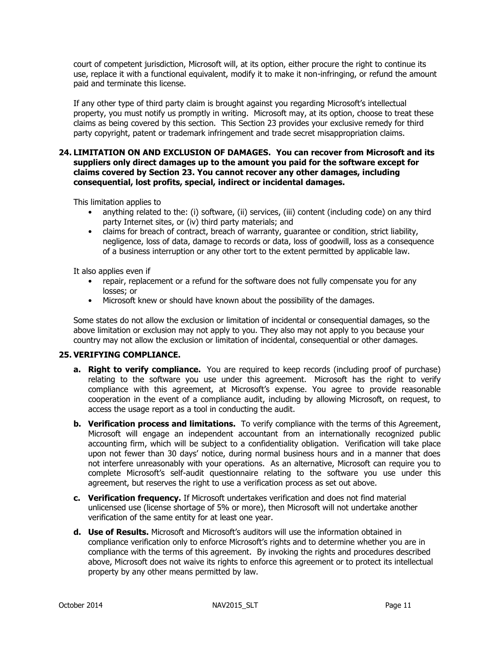court of competent jurisdiction, Microsoft will, at its option, either procure the right to continue its use, replace it with a functional equivalent, modify it to make it non-infringing, or refund the amount paid and terminate this license.

If any other type of third party claim is brought against you regarding Microsoft's intellectual property, you must notify us promptly in writing. Microsoft may, at its option, choose to treat these claims as being covered by this section. This Section 23 provides your exclusive remedy for third party copyright, patent or trademark infringement and trade secret misappropriation claims.

### **24. LIMITATION ON AND EXCLUSION OF DAMAGES. You can recover from Microsoft and its suppliers only direct damages up to the amount you paid for the software except for claims covered by Section 23. You cannot recover any other damages, including consequential, lost profits, special, indirect or incidental damages.**

This limitation applies to

- anything related to the: (i) software, (ii) services, (iii) content (including code) on any third party Internet sites, or (iv) third party materials; and
- claims for breach of contract, breach of warranty, guarantee or condition, strict liability, negligence, loss of data, damage to records or data, loss of goodwill, loss as a consequence of a business interruption or any other tort to the extent permitted by applicable law.

It also applies even if

- repair, replacement or a refund for the software does not fully compensate you for any losses; or
- Microsoft knew or should have known about the possibility of the damages.

Some states do not allow the exclusion or limitation of incidental or consequential damages, so the above limitation or exclusion may not apply to you. They also may not apply to you because your country may not allow the exclusion or limitation of incidental, consequential or other damages.

### **25. VERIFYING COMPLIANCE.**

- **a. Right to verify compliance.** You are required to keep records (including proof of purchase) relating to the software you use under this agreement. Microsoft has the right to verify compliance with this agreement, at Microsoft's expense. You agree to provide reasonable cooperation in the event of a compliance audit, including by allowing Microsoft, on request, to access the usage report as a tool in conducting the audit.
- **b.** Verification process and limitations. To verify compliance with the terms of this Agreement, Microsoft will engage an independent accountant from an internationally recognized public accounting firm, which will be subject to a confidentiality obligation. Verification will take place upon not fewer than 30 days' notice, during normal business hours and in a manner that does not interfere unreasonably with your operations. As an alternative, Microsoft can require you to complete Microsoft's self-audit questionnaire relating to the software you use under this agreement, but reserves the right to use a verification process as set out above.
- **c. Verification frequency.** If Microsoft undertakes verification and does not find material unlicensed use (license shortage of 5% or more), then Microsoft will not undertake another verification of the same entity for at least one year.
- **d. Use of Results.** Microsoft and Microsoft's auditors will use the information obtained in compliance verification only to enforce Microsoft's rights and to determine whether you are in compliance with the terms of this agreement. By invoking the rights and procedures described above, Microsoft does not waive its rights to enforce this agreement or to protect its intellectual property by any other means permitted by law.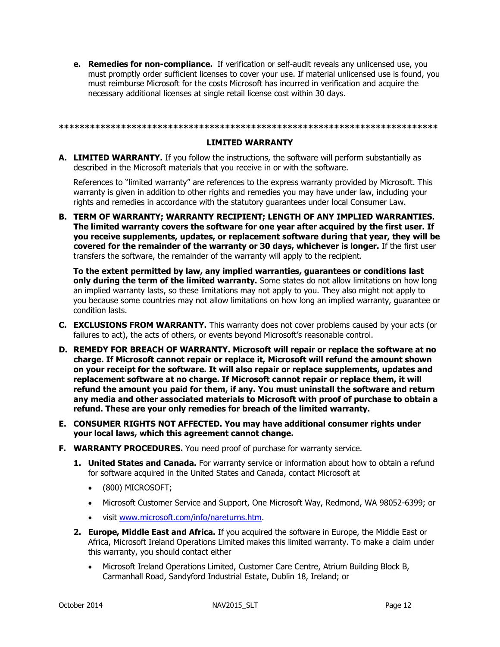**e. Remedies for non-compliance.** If verification or self-audit reveals any unlicensed use, you must promptly order sufficient licenses to cover your use. If material unlicensed use is found, you must reimburse Microsoft for the costs Microsoft has incurred in verification and acquire the necessary additional licenses at single retail license cost within 30 days.

#### **\*\*\*\*\*\*\*\*\*\*\*\*\*\*\*\*\*\*\*\*\*\*\*\*\*\*\*\*\*\*\*\*\*\*\*\*\*\*\*\*\*\*\*\*\*\*\*\*\*\*\*\*\*\*\*\*\*\*\*\*\*\*\*\*\*\*\*\*\*\*\*\*\***

#### **LIMITED WARRANTY**

**A. LIMITED WARRANTY.** If you follow the instructions, the software will perform substantially as described in the Microsoft materials that you receive in or with the software.

References to "limited warranty" are references to the express warranty provided by Microsoft. This warranty is given in addition to other rights and remedies you may have under law, including your rights and remedies in accordance with the statutory guarantees under local Consumer Law.

**B. TERM OF WARRANTY; WARRANTY RECIPIENT; LENGTH OF ANY IMPLIED WARRANTIES. The limited warranty covers the software for one year after acquired by the first user. If you receive supplements, updates, or replacement software during that year, they will be covered for the remainder of the warranty or 30 days, whichever is longer.** If the first user transfers the software, the remainder of the warranty will apply to the recipient.

**To the extent permitted by law, any implied warranties, guarantees or conditions last only during the term of the limited warranty.** Some states do not allow limitations on how long an implied warranty lasts, so these limitations may not apply to you. They also might not apply to you because some countries may not allow limitations on how long an implied warranty, guarantee or condition lasts.

- **C. EXCLUSIONS FROM WARRANTY.** This warranty does not cover problems caused by your acts (or failures to act), the acts of others, or events beyond Microsoft's reasonable control.
- **D. REMEDY FOR BREACH OF WARRANTY. Microsoft will repair or replace the software at no charge. If Microsoft cannot repair or replace it, Microsoft will refund the amount shown on your receipt for the software. It will also repair or replace supplements, updates and replacement software at no charge. If Microsoft cannot repair or replace them, it will refund the amount you paid for them, if any. You must uninstall the software and return any media and other associated materials to Microsoft with proof of purchase to obtain a refund. These are your only remedies for breach of the limited warranty.**
- **E. CONSUMER RIGHTS NOT AFFECTED. You may have additional consumer rights under your local laws, which this agreement cannot change.**
- **F. WARRANTY PROCEDURES.** You need proof of purchase for warranty service.
	- **1. United States and Canada.** For warranty service or information about how to obtain a refund for software acquired in the United States and Canada, contact Microsoft at
		- (800) MICROSOFT;
		- Microsoft Customer Service and Support, One Microsoft Way, Redmond, WA 98052-6399; or
		- visit www.microsoft.com/info/nareturns.htm.
	- **2. Europe, Middle East and Africa.** If you acquired the software in Europe, the Middle East or Africa, Microsoft Ireland Operations Limited makes this limited warranty. To make a claim under this warranty, you should contact either
		- Microsoft Ireland Operations Limited, Customer Care Centre, Atrium Building Block B, Carmanhall Road, Sandyford Industrial Estate, Dublin 18, Ireland; or